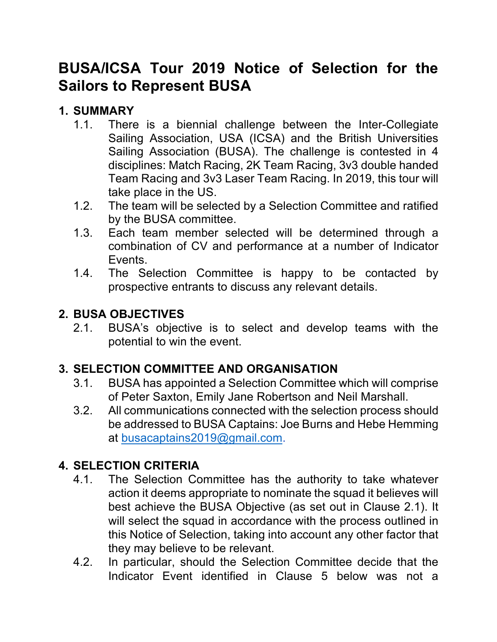# **BUSA/ICSA Tour 2019 Notice of Selection for the Sailors to Represent BUSA**

#### **1. SUMMARY**

- 1.1. There is a biennial challenge between the Inter-Collegiate Sailing Association, USA (ICSA) and the British Universities Sailing Association (BUSA). The challenge is contested in 4 disciplines: Match Racing, 2K Team Racing, 3v3 double handed Team Racing and 3v3 Laser Team Racing. In 2019, this tour will take place in the US.
- 1.2. The team will be selected by a Selection Committee and ratified by the BUSA committee.
- 1.3. Each team member selected will be determined through a combination of CV and performance at a number of Indicator Events.
- 1.4. The Selection Committee is happy to be contacted by prospective entrants to discuss any relevant details.

#### **2. BUSA OBJECTIVES**

2.1. BUSA's objective is to select and develop teams with the potential to win the event.

#### **3. SELECTION COMMITTEE AND ORGANISATION**

- 3.1. BUSA has appointed a Selection Committee which will comprise of Peter Saxton, Emily Jane Robertson and Neil Marshall.
- 3.2. All communications connected with the selection process should be addressed to BUSA Captains: Joe Burns and Hebe Hemming at busacaptains2019@gmail.com.

#### **4. SELECTION CRITERIA**

- 4.1. The Selection Committee has the authority to take whatever action it deems appropriate to nominate the squad it believes will best achieve the BUSA Objective (as set out in Clause 2.1). It will select the squad in accordance with the process outlined in this Notice of Selection, taking into account any other factor that they may believe to be relevant.
- 4.2. In particular, should the Selection Committee decide that the Indicator Event identified in Clause 5 below was not a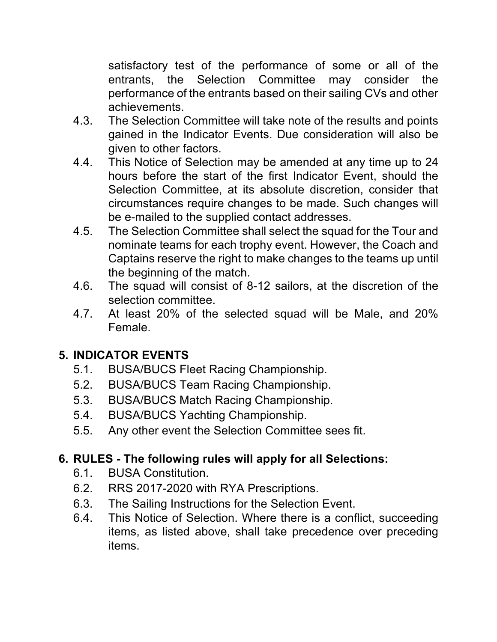satisfactory test of the performance of some or all of the entrants, the Selection Committee may consider the performance of the entrants based on their sailing CVs and other achievements.

- 4.3. The Selection Committee will take note of the results and points gained in the Indicator Events. Due consideration will also be given to other factors.
- 4.4. This Notice of Selection may be amended at any time up to 24 hours before the start of the first Indicator Event, should the Selection Committee, at its absolute discretion, consider that circumstances require changes to be made. Such changes will be e-mailed to the supplied contact addresses.
- 4.5. The Selection Committee shall select the squad for the Tour and nominate teams for each trophy event. However, the Coach and Captains reserve the right to make changes to the teams up until the beginning of the match.
- 4.6. The squad will consist of 8-12 sailors, at the discretion of the selection committee.
- 4.7. At least 20% of the selected squad will be Male, and 20% Female.

#### **5. INDICATOR EVENTS**

- 5.1. BUSA/BUCS Fleet Racing Championship.
- 5.2. BUSA/BUCS Team Racing Championship.
- 5.3. BUSA/BUCS Match Racing Championship.
- 5.4. BUSA/BUCS Yachting Championship.
- 5.5. Any other event the Selection Committee sees fit.

#### **6. RULES - The following rules will apply for all Selections:**

- 6.1. BUSA Constitution.
- 6.2. RRS 2017-2020 with RYA Prescriptions.
- 6.3. The Sailing Instructions for the Selection Event.
- 6.4. This Notice of Selection. Where there is a conflict, succeeding items, as listed above, shall take precedence over preceding items.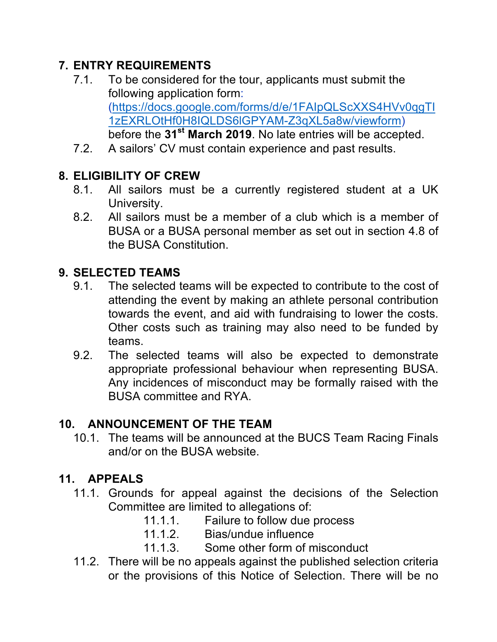## **7. ENTRY REQUIREMENTS**

- 7.1. To be considered for the tour, applicants must submit the following application form: (https://docs.google.com/forms/d/e/1FAIpQLScXXS4HVv0qgTI 1zEXRLOtHf0H8IQLDS6lGPYAM-Z3qXL5a8w/viewform) before the **31st March 2019**. No late entries will be accepted.
- 7.2. A sailors' CV must contain experience and past results.

# **8. ELIGIBILITY OF CREW**

- 8.1. All sailors must be a currently registered student at a UK University.
- 8.2. All sailors must be a member of a club which is a member of BUSA or a BUSA personal member as set out in section 4.8 of the BUSA Constitution.

## **9. SELECTED TEAMS**

- 9.1. The selected teams will be expected to contribute to the cost of attending the event by making an athlete personal contribution towards the event, and aid with fundraising to lower the costs. Other costs such as training may also need to be funded by teams.
- 9.2. The selected teams will also be expected to demonstrate appropriate professional behaviour when representing BUSA. Any incidences of misconduct may be formally raised with the BUSA committee and RYA.

# **10. ANNOUNCEMENT OF THE TEAM**

10.1. The teams will be announced at the BUCS Team Racing Finals and/or on the BUSA website.

#### **11. APPEALS**

- 11.1. Grounds for appeal against the decisions of the Selection Committee are limited to allegations of:
	- 11.1.1. Failure to follow due process
	- 11.1.2. Bias/undue influence
	- 11.1.3. Some other form of misconduct
- 11.2. There will be no appeals against the published selection criteria or the provisions of this Notice of Selection. There will be no